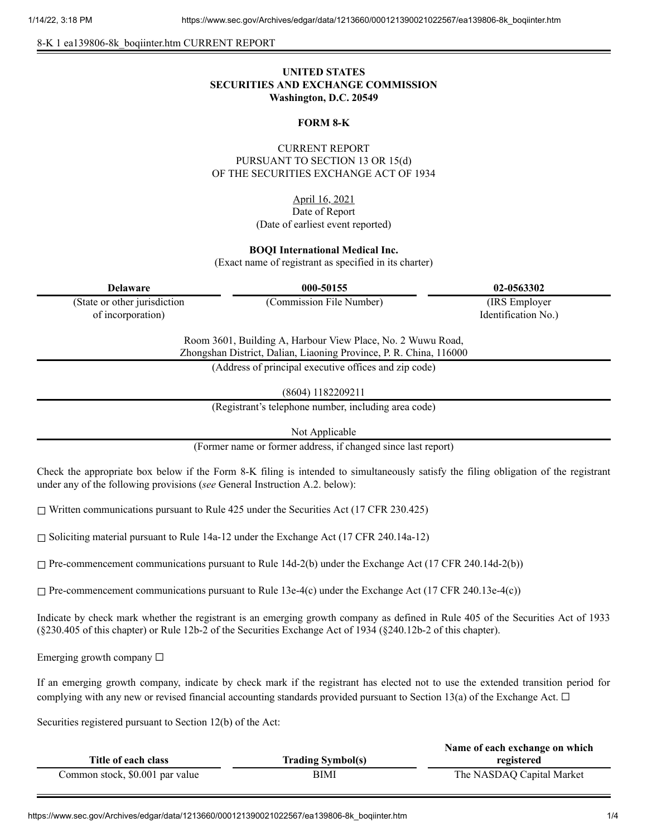8-K 1 ea139806-8k\_boqiinter.htm CURRENT REPORT

# **UNITED STATES SECURITIES AND EXCHANGE COMMISSION Washington, D.C. 20549**

#### **FORM 8-K**

## CURRENT REPORT PURSUANT TO SECTION 13 OR 15(d) OF THE SECURITIES EXCHANGE ACT OF 1934

April 16, 2021 Date of Report (Date of earliest event reported)

### **BOQI International Medical Inc.**

(Exact name of registrant as specified in its charter)

| <b>Delaware</b>                                                                                                                   | 000-50155                                             | 02-0563302          |
|-----------------------------------------------------------------------------------------------------------------------------------|-------------------------------------------------------|---------------------|
| (State or other jurisdiction                                                                                                      | (Commission File Number)                              | (IRS Employer)      |
| of incorporation)                                                                                                                 |                                                       | Identification No.) |
| Room 3601, Building A, Harbour View Place, No. 2 Wuwu Road,<br>Zhongshan District, Dalian, Liaoning Province, P. R. China, 116000 |                                                       |                     |
|                                                                                                                                   | (Address of principal executive offices and zip code) |                     |
|                                                                                                                                   |                                                       |                     |

(8604) 1182209211

(Registrant's telephone number, including area code)

Not Applicable

(Former name or former address, if changed since last report)

Check the appropriate box below if the Form 8-K filing is intended to simultaneously satisfy the filing obligation of the registrant under any of the following provisions (*see* General Instruction A.2. below):

☐ Written communications pursuant to Rule 425 under the Securities Act (17 CFR 230.425)

 $\Box$  Soliciting material pursuant to Rule 14a-12 under the Exchange Act (17 CFR 240.14a-12)

 $\Box$  Pre-commencement communications pursuant to Rule 14d-2(b) under the Exchange Act (17 CFR 240.14d-2(b))

 $\Box$  Pre-commencement communications pursuant to Rule 13e-4(c) under the Exchange Act (17 CFR 240.13e-4(c))

Indicate by check mark whether the registrant is an emerging growth company as defined in Rule 405 of the Securities Act of 1933 (§230.405 of this chapter) or Rule 12b-2 of the Securities Exchange Act of 1934 (§240.12b-2 of this chapter).

Emerging growth company  $\Box$ 

If an emerging growth company, indicate by check mark if the registrant has elected not to use the extended transition period for complying with any new or revised financial accounting standards provided pursuant to Section 13(a) of the Exchange Act.  $\Box$ 

Securities registered pursuant to Section 12(b) of the Act:

|                                 |                          | Name of each exchange on which |
|---------------------------------|--------------------------|--------------------------------|
| Title of each class             | <b>Trading Symbol(s)</b> | registered                     |
| Common stock, \$0.001 par value | BIMI                     | The NASDAQ Capital Market      |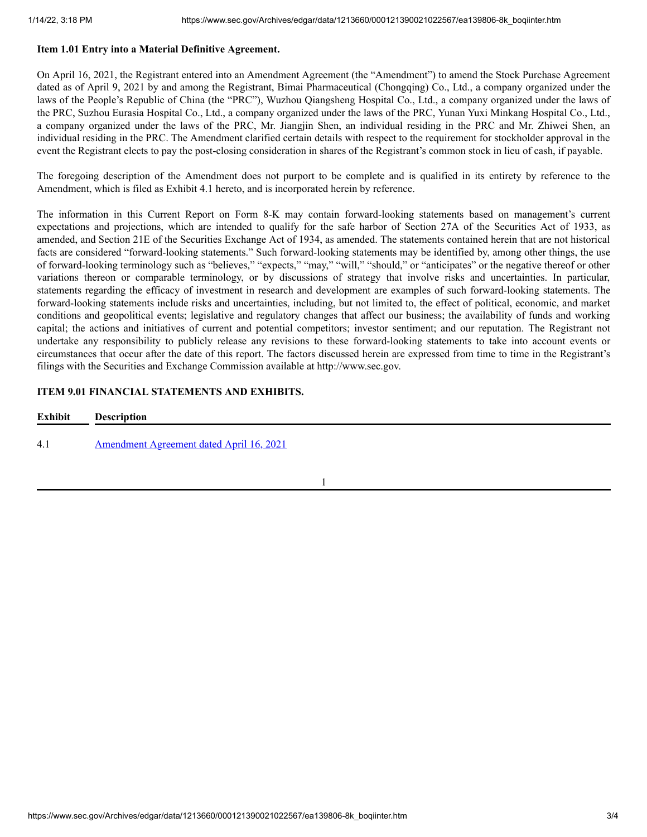### **Item 1.01 Entry into a Material Definitive Agreement.**

On April 16, 2021, the Registrant entered into an Amendment Agreement (the "Amendment") to amend the Stock Purchase Agreement dated as of April 9, 2021 by and among the Registrant, Bimai Pharmaceutical (Chongqing) Co., Ltd., a company organized under the laws of the People's Republic of China (the "PRC"), Wuzhou Qiangsheng Hospital Co., Ltd., a company organized under the laws of the PRC, Suzhou Eurasia Hospital Co., Ltd., a company organized under the laws of the PRC, Yunan Yuxi Minkang Hospital Co., Ltd., a company organized under the laws of the PRC, Mr. Jiangjin Shen, an individual residing in the PRC and Mr. Zhiwei Shen, an individual residing in the PRC. The Amendment clarified certain details with respect to the requirement for stockholder approval in the event the Registrant elects to pay the post-closing consideration in shares of the Registrant's common stock in lieu of cash, if payable.

The foregoing description of the Amendment does not purport to be complete and is qualified in its entirety by reference to the Amendment, which is filed as Exhibit 4.1 hereto, and is incorporated herein by reference.

The information in this Current Report on Form 8-K may contain forward-looking statements based on management's current expectations and projections, which are intended to qualify for the safe harbor of Section 27A of the Securities Act of 1933, as amended, and Section 21E of the Securities Exchange Act of 1934, as amended. The statements contained herein that are not historical facts are considered "forward-looking statements." Such forward-looking statements may be identified by, among other things, the use of forward-looking terminology such as "believes," "expects," "may," "will," "should," or "anticipates" or the negative thereof or other variations thereon or comparable terminology, or by discussions of strategy that involve risks and uncertainties. In particular, statements regarding the efficacy of investment in research and development are examples of such forward-looking statements. The forward-looking statements include risks and uncertainties, including, but not limited to, the effect of political, economic, and market conditions and geopolitical events; legislative and regulatory changes that affect our business; the availability of funds and working capital; the actions and initiatives of current and potential competitors; investor sentiment; and our reputation. The Registrant not undertake any responsibility to publicly release any revisions to these forward-looking statements to take into account events or circumstances that occur after the date of this report. The factors discussed herein are expressed from time to time in the Registrant's filings with the Securities and Exchange Commission available at http://www.sec.gov.

## **ITEM 9.01 FINANCIAL STATEMENTS AND EXHIBITS.**

| <b>Exhibit</b> | <b>Description</b>                       |
|----------------|------------------------------------------|
| 4.1            | Amendment Agreement dated April 16, 2021 |

1